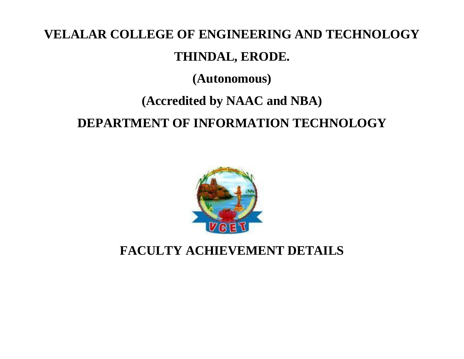# **VELALAR COLLEGE OF ENGINEERING AND TECHNOLOGY**

### **THINDAL, ERODE.**

**(Autonomous)**

## **(Accredited by NAAC and NBA)**

## **DEPARTMENT OF INFORMATION TECHNOLOGY**



### **FACULTY ACHIEVEMENT DETAILS**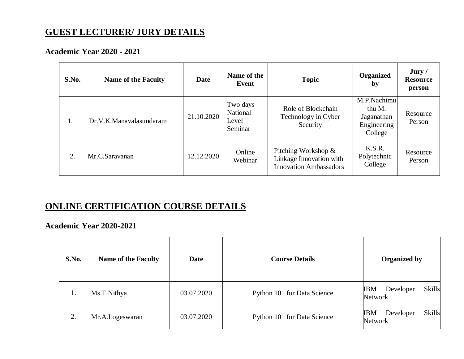### **GUEST LECTURER/ JURY DETAILS**

#### **Academic Year 2020 - 2021**

| S.No. | <b>Name of the Faculty</b> | Date       | Name of the<br>Event                     | <b>Topic</b>                                                                    | <b>Organized</b><br>by                                        | Jury /<br><b>Resource</b><br>person |
|-------|----------------------------|------------|------------------------------------------|---------------------------------------------------------------------------------|---------------------------------------------------------------|-------------------------------------|
| 1.    | Dr.V.K.Manavalasundaram    | 21.10.2020 | Two days<br>National<br>Level<br>Seminar | Role of Blockchain<br>Technology in Cyber<br>Security                           | M.P.Nachimu<br>thu M.<br>Jaganathan<br>Engineering<br>College | Resource<br>Person                  |
| 2.    | Mr.C.Saravanan             | 12.12.2020 | Online<br>Webinar                        | Pitching Workshop &<br>Linkage Innovation with<br><b>Innovation Ambassadors</b> | K.S.R.<br>Polytechnic<br>College                              | Resource<br>Person                  |

#### **ONLINE CERTIFICATION COURSE DETAILS**

#### **Academic Year 2020-2021**

| S.No. | <b>Name of the Faculty</b> | <b>Date</b> | <b>Course Details</b>       | <b>Organized by</b>                                        |
|-------|----------------------------|-------------|-----------------------------|------------------------------------------------------------|
| 1.    | Ms.T.Nithya                | 03.07.2020  | Python 101 for Data Science | <b>Skills</b><br>Developer<br><b>IBM</b><br><b>Network</b> |
| 2.    | Mr.A.Logeswaran            | 03.07.2020  | Python 101 for Data Science | <b>Skills</b><br><b>IBM</b><br>Developer<br>Network        |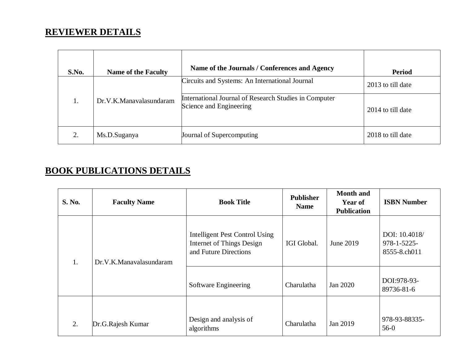### **REVIEWER DETAILS**

| S.No.         | <b>Name of the Faculty</b> | Name of the Journals / Conferences and Agency                                    | <b>Period</b>     |
|---------------|----------------------------|----------------------------------------------------------------------------------|-------------------|
|               |                            | Circuits and Systems: An International Journal                                   | 2013 to till date |
|               | Dr.V.K.Manavalasundaram    | International Journal of Research Studies in Computer<br>Science and Engineering | 2014 to till date |
| $\mathcal{D}$ | Ms.D.Suganya               | Journal of Supercomputing                                                        | 2018 to till date |

### **BOOK PUBLICATIONS DETAILS**

| <b>S. No.</b> | <b>Faculty Name</b>     | <b>Book Title</b>                                                                    | <b>Publisher</b><br><b>Name</b> | <b>Month</b> and<br><b>Year of</b><br><b>Publication</b> | <b>ISBN Number</b>                                |
|---------------|-------------------------|--------------------------------------------------------------------------------------|---------------------------------|----------------------------------------------------------|---------------------------------------------------|
| 1.            | Dr.V.K.Manavalasundaram | Intelligent Pest Control Using<br>Internet of Things Design<br>and Future Directions | IGI Global.                     | June 2019                                                | DOI: 10.4018/<br>$978 - 1 - 5225$<br>8555-8.ch011 |
|               |                         | Software Engineering                                                                 | Charulatha                      | Jan 2020                                                 | DOI:978-93-<br>89736-81-6                         |
| 2.            | Dr.G.Rajesh Kumar       | Design and analysis of<br>algorithms                                                 | Charulatha                      | Jan 2019                                                 | 978-93-88335-<br>$56-0$                           |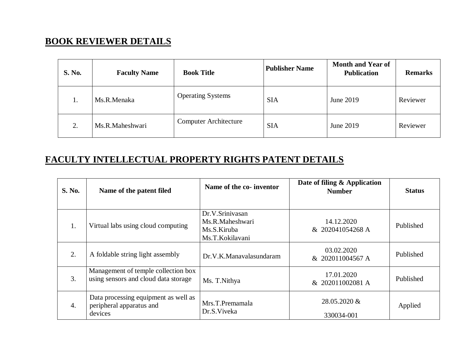#### **BOOK REVIEWER DETAILS**

| <b>S. No.</b> | <b>Faculty Name</b> | <b>Book Title</b>            | <b>Publisher Name</b> | <b>Month and Year of</b><br><b>Publication</b> | <b>Remarks</b> |
|---------------|---------------------|------------------------------|-----------------------|------------------------------------------------|----------------|
| 1.            | Ms.R.Menaka         | <b>Operating Systems</b>     | <b>SIA</b>            | June 2019                                      | Reviewer       |
| 2.            | Ms.R.Maheshwari     | <b>Computer Architecture</b> | <b>SIA</b>            | June 2019                                      | Reviewer       |

#### **FACULTY INTELLECTUAL PROPERTY RIGHTS PATENT DETAILS**

| <b>S. No.</b> | Name of the patent filed                                                    | Name of the co- inventor                                             | Date of filing & Application<br><b>Number</b> | <b>Status</b> |
|---------------|-----------------------------------------------------------------------------|----------------------------------------------------------------------|-----------------------------------------------|---------------|
| 1.            | Virtual labs using cloud computing                                          | Dr.V.Srinivasan<br>Ms.R.Maheshwari<br>Ms.S.Kiruba<br>Ms.T.Kokilavani | 14.12.2020<br>& 202041054268 A                | Published     |
| 2.            | A foldable string light assembly                                            | Dr.V.K.Manavalasundaram                                              | 03.02.2020<br>& 202011004567 A                | Published     |
| 3.            | Management of temple collection box<br>using sensors and cloud data storage | Ms. T.Nithya                                                         | 17.01.2020<br>& 202011002081 A                | Published     |
| 4.            | Data processing equipment as well as<br>peripheral apparatus and<br>devices | Mrs.T.Premamala<br>Dr.S. Viveka                                      | 28.05.2020 &<br>330034-001                    | Applied       |